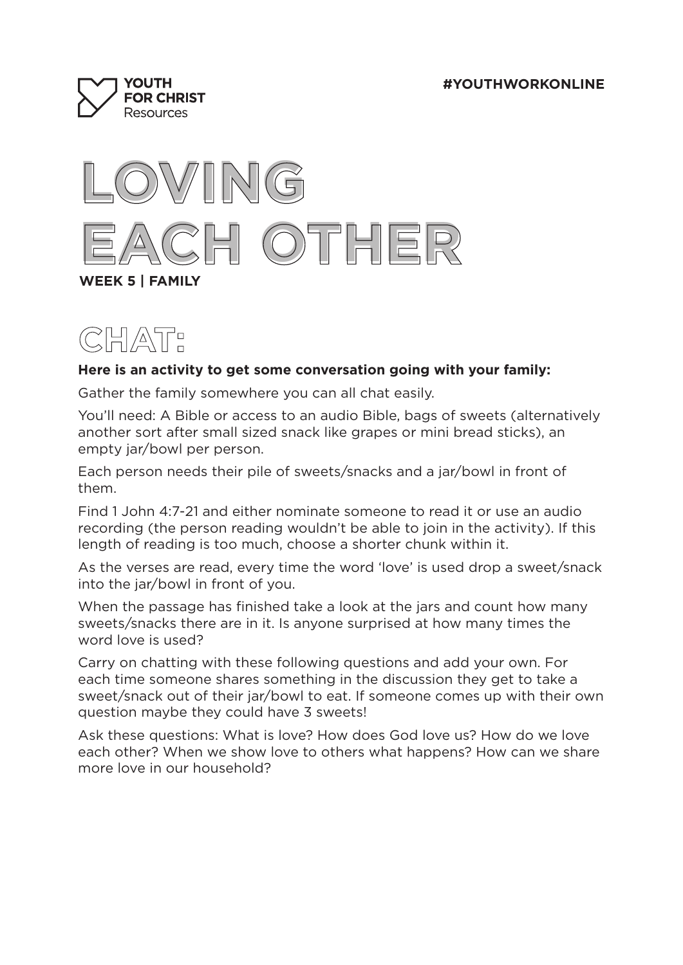





## **Here is an activity to get some conversation going with your family:**

Gather the family somewhere you can all chat easily.

You'll need: A Bible or access to an audio Bible, bags of sweets (alternatively another sort after small sized snack like grapes or mini bread sticks), an empty jar/bowl per person.

Each person needs their pile of sweets/snacks and a jar/bowl in front of them.

Find 1 John 4:7-21 and either nominate someone to read it or use an audio recording (the person reading wouldn't be able to join in the activity). If this length of reading is too much, choose a shorter chunk within it.

As the verses are read, every time the word 'love' is used drop a sweet/snack into the jar/bowl in front of you.

When the passage has finished take a look at the jars and count how many sweets/snacks there are in it. Is anyone surprised at how many times the word love is used?

Carry on chatting with these following questions and add your own. For each time someone shares something in the discussion they get to take a sweet/snack out of their jar/bowl to eat. If someone comes up with their own question maybe they could have 3 sweets!

Ask these questions: What is love? How does God love us? How do we love each other? When we show love to others what happens? How can we share more love in our household?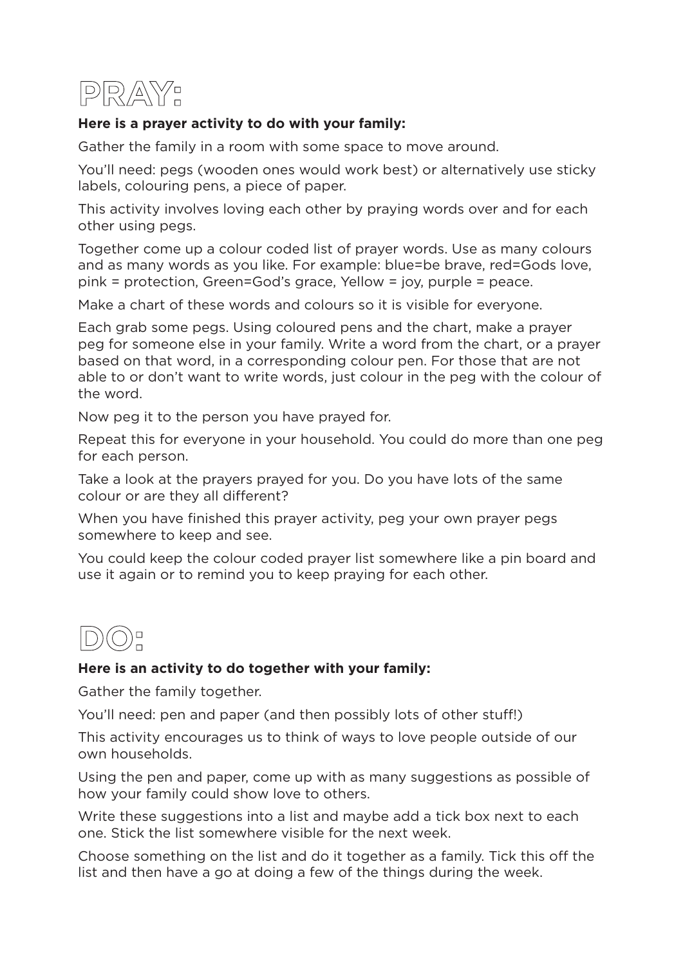

## **Here is a prayer activity to do with your family:**

Gather the family in a room with some space to move around.

You'll need: pegs (wooden ones would work best) or alternatively use sticky labels, colouring pens, a piece of paper.

This activity involves loving each other by praying words over and for each other using pegs.

Together come up a colour coded list of prayer words. Use as many colours and as many words as you like. For example: blue=be brave, red=Gods love, pink = protection, Green=God's grace, Yellow = joy, purple = peace.

Make a chart of these words and colours so it is visible for everyone.

Each grab some pegs. Using coloured pens and the chart, make a prayer peg for someone else in your family. Write a word from the chart, or a prayer based on that word, in a corresponding colour pen. For those that are not able to or don't want to write words, just colour in the peg with the colour of the word.

Now peg it to the person you have prayed for.

Repeat this for everyone in your household. You could do more than one peg for each person.

Take a look at the prayers prayed for you. Do you have lots of the same colour or are they all different?

When you have finished this prayer activity, peg your own prayer pegs somewhere to keep and see.

You could keep the colour coded prayer list somewhere like a pin board and use it again or to remind you to keep praying for each other.

**DO:**

## **Here is an activity to do together with your family:**

Gather the family together.

You'll need: pen and paper (and then possibly lots of other stuff!)

This activity encourages us to think of ways to love people outside of our own households.

Using the pen and paper, come up with as many suggestions as possible of how your family could show love to others.

Write these suggestions into a list and maybe add a tick box next to each one. Stick the list somewhere visible for the next week.

Choose something on the list and do it together as a family. Tick this off the list and then have a go at doing a few of the things during the week.